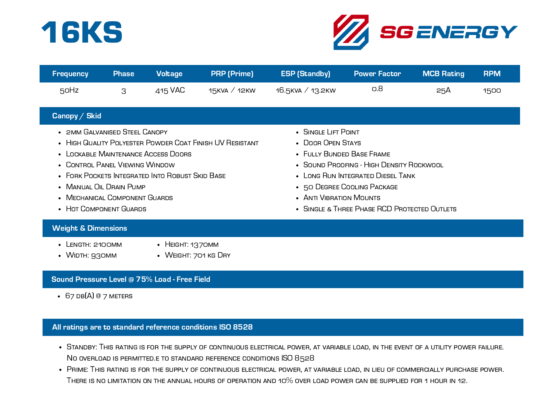



| <b>Frequency</b> | <b>Phase</b> | <b>Voltage</b> | <b>PRP</b> (Prime) | <b>ESP (Standby)</b> | <b>Power Factor</b> | MCB Rating | <b>RPM</b> |
|------------------|--------------|----------------|--------------------|----------------------|---------------------|------------|------------|
| 50Hz             |              | 415 VAC        | 15KVA / 12KW       | 16.5кvд ∕ 13.2кw     | о.8                 | 25A        | 1500       |

## Canopy / Skid

- 2MM GALVANISED STEEL CANOPY
- HIGH QUALITY POLYESTER POWDER COAT FINISH UV RESISTANT
- Lockable Maintenance Access Doors
- Control Panel Viewing Window
- FORK POCKETS INTEGRATED INTO ROBUST SKID BASE
- Manual Oil Drain Pump
- Mechanical Component Guards
- HOT COMPONENT GUARDS
- Single Lift Point
- DOOR OPEN STAYS
- Fully Bunded Base Frame
- Sound Proofing High Density Rockwool
- LONG RUN INTEGRATED DIESEL TANK
- 50 DEGREE COOLING PACKAGE
- Anti Vibration Mounts
- SINGLE & THREE PHASE RCD PROTECTED OUTLETS

#### Weight & Dimensions

- Length: 2100mm
- HEIGHT: 1370MM
- WIDTH: 930MM
- WEIGHT: 701 KG DRY

## Sound Pressure Level @ 75% Load - Free Field

 $\cdot$  67 db(A) @ 7 meters

## All ratings are to standard reference conditions ISO 8528

- . STANDBY: THIS RATING IS FOR THE SUPPLY OF CONTINUOUS ELECTRICAL POWER, AT VARIABLE LOAD, IN THE EVENT OF A UTILITY POWER FAILURE. No overload is permitted.e to standard reference conditions ISO 8528
- . PRIME: THIS RATING IS FOR THE SUPPLY OF CONTINUOUS ELECTRICAL POWER, AT VARIABLE LOAD, IN LIEU OF COMMERCIALLY PURCHASE POWER. There is no limitation on the annual hours of operation and 10% over load power can be supplied for 1 hour in 12.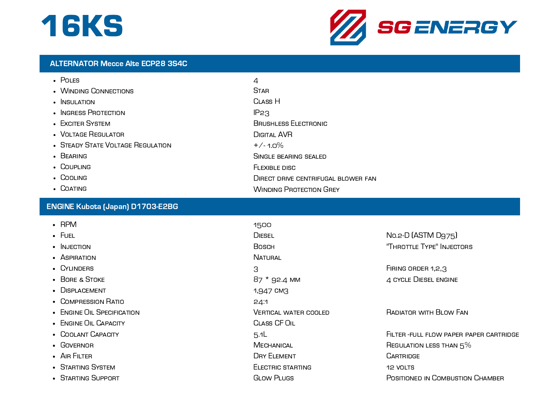## 16KS



#### ALTERNATOR Mecce Alte ECP28 3S4C

| $\cdot$ Poles                     | 4                                          |
|-----------------------------------|--------------------------------------------|
| • WINDING CONNECTIONS             | <b>STAR</b>                                |
| $\cdot$ INSULATION                | CLASS <sub>H</sub>                         |
| • INGRESS PROTECTION              | IP <sub>23</sub>                           |
| • EXCITER SYSTEM                  | <b>BRUSHLESS ELECTRONIC</b>                |
| • VOLTAGE REGULATOR               | <b>DIGITAL AVR</b>                         |
| • STEADY STATE VOLTAGE REGULATION | $+/-1.0%$                                  |
| $\cdot$ BEARING                   | SINGLE BEARING SEALED                      |
| $\cdot$ Coupling                  | FLEXIBLE DISC                              |
| • COOLING                         | <b>DIRECT DRIVE CENTRIFUGAL BLOWER FAN</b> |
| • COATING                         | <b>WINDING PROTECTION GREY</b>             |

## ENGINE Kubota (Japan) D1703-E2BG

- RPM
- Fuel
- $\bullet$  Injection
- ASPIRATION
- CYLINDERS
- BORE & STOKE
- DISPI ACEMENT
- Compression Ratio
- ENGINE OIL SPECIFICATION
- ENGINE OIL CAPACITY
- Coolant Capacity
- Governor
- AIR FILTER
- STARTING SYSTEM
- Starting Support

1500 **DIESEL Bosch NATURAL** 3 87 \* 92.4 mm 1,947 cm3 24:1 Vertical water cooled Class CF Oil 5.1L **MECHANICAL** Dry Element Electric starting Glow Plugs

No.2-D (ASTM D975) "Throttle Type" Injectors

FIRING ORDER 1,2,3 4 cycle Diesel engine

Radiator with Blow Fan

Filter -full flow paper paper cartridge Regulation less than 5% **CARTRIDGE** 12 VOLTS POSITIONED IN COMBUSTION CHAMBER